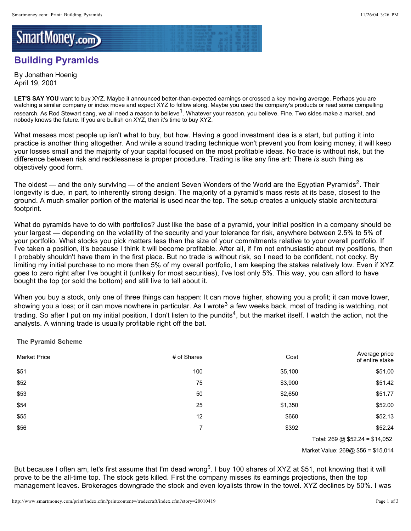## SmartMoney.com

## **Building Pyramids**

By Jonathan Hoenig April 19, 2001

LET'S SAY YOU want to buy XYZ. Maybe it announced better-than-expected earnings or crossed a key moving average. Perhaps you are watching a similar company or index move and expect XYZ to follow along. Maybe you used the company's products or read some compelling research. As Rod Stewart sang, we all need a reason to believe<sup>1</sup>. Whatever your reason, you believe. Fine. Two sides make a market, and nobody knows the future. If you are bullish on XYZ, then it's time to buy XYZ.

What messes most people up isn't what to buy, but how. Having a good investment idea is a start, but putting it into practice is another thing altogether. And while a sound trading technique won't prevent you from losing money, it will keep your losses small and the majority of your capital focused on the most profitable ideas. No trade is without risk, but the difference between risk and recklessness is proper procedure. Trading is like any fine art: There is such thing as objectively good form.

The oldest — and the only surviving — of the ancient Seven Wonders of the World are the Egyptian Pyramids<sup>2</sup>. Their longevity is due, in part, to inherently strong design. The majority of a pyramid's mass rests at its base, closest to the ground. A much smaller portion of the material is used near the top. The setup creates a uniquely stable architectural footprint.

What do pyramids have to do with portfolios? Just like the base of a pyramid, your initial position in a company should be your largest — depending on the volatility of the security and your tolerance for risk, anywhere between 2.5% to 5% of your portfolio. What stocks you pick matters less than the size of your commitments relative to your overall portfolio. If I've taken a position, it's because I think it will become profitable. After all, if I'm not enthusiastic about my positions, then I probably shouldn't have them in the first place. But no trade is without risk, so I need to be confident, not cocky. By limiting my initial purchase to no more then 5% of my overall portfolio, I am keeping the stakes relatively low. Even if XYZ goes to zero right after I've bought it (unlikely for most securities), I've lost only 5%. This way, you can afford to have bought the top (or sold the bottom) and still live to tell about it.

When you buy a stock, only one of three things can happen: It can move higher, showing you a profit; it can move lower, showing you a loss; or it can move nowhere in particular. As I wrote<sup>3</sup> a few weeks back, most of trading is watching, not trading. So after I put on my initial position, I don't listen to the pundits<sup>4</sup>, but the market itself. I watch the action, not the analysts. A winning trade is usually profitable right off the bat.

**The Pyramid Scheme**

| <b>Market Price</b> | # of Shares | Cost    | Average price<br>of entire stake |
|---------------------|-------------|---------|----------------------------------|
| \$51                | 100         | \$5,100 | \$51.00                          |
| \$52                | 75          | \$3,900 | \$51.42                          |
| \$53                | 50          | \$2,650 | \$51.77                          |
| \$54                | 25          | \$1,350 | \$52.00                          |
| \$55                | 12          | \$660   | \$52.13                          |
| \$56                | 7           | \$392   | \$52.24                          |
|                     |             |         |                                  |

Total: 269 @ \$52.24 = \$14,052

Market Value: 269@ \$56 = \$15,014

But because I often am, let's first assume that I'm dead wrong<sup>5</sup>. I buy 100 shares of XYZ at \$51, not knowing that it will prove to be the all-time top. The stock gets killed. First the company misses its earnings projections, then the top management leaves. Brokerages downgrade the stock and even loyalists throw in the towel. XYZ declines by 50%. I was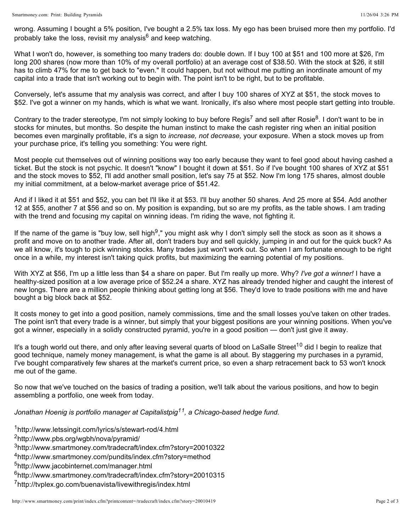wrong. Assuming I bought a 5% position, I've bought a 2.5% tax loss. My ego has been bruised more then my portfolio. I'd probably take the loss, revisit my analysis<sup>6</sup> and keep watching.

What I won't do, however, is something too many traders do: double down. If I buy 100 at \$51 and 100 more at \$26, I'm long 200 shares (now more than 10% of my overall portfolio) at an average cost of \$38.50. With the stock at \$26, it still has to climb 47% for me to get back to "even." It could happen, but not without me putting an inordinate amount of my capital into a trade that isn't working out to begin with. The point isn't to be right, but to be profitable.

Conversely, let's assume that my analysis was correct, and after I buy 100 shares of XYZ at \$51, the stock moves to \$52. I've got a winner on my hands, which is what we want. Ironically, it's also where most people start getting into trouble.

Contrary to the trader stereotype, I'm not simply looking to buy before Regis<sup>7</sup> and sell after Rosie<sup>8</sup>. I don't want to be in stocks for minutes, but months. So despite the human instinct to make the cash register ring when an initial position becomes even marginally profitable, it's a sign to *increase, not decrease, your exposure*. When a stock moves up from your purchase price, it's telling you something: You were right.

Most people cut themselves out of winning positions way too early because they want to feel good about having cashed a ticket. But the stock is not psychic. It doesn't "know" I bought it down at \$51. So if I've bought 100 shares of XYZ at \$51 and the stock moves to \$52, I'll add another small position, let's say 75 at \$52. Now I'm long 175 shares, almost double my initial commitment, at a below-market average price of \$51.42.

And if I liked it at \$51 and \$52, you can bet I'll like it at \$53. I'll buy another 50 shares. And 25 more at \$54. Add another 12 at \$55, another 7 at \$56 and so on. My position is expanding, but so are my profits, as the table shows. I am trading with the trend and focusing my capital on winning ideas. I'm riding the wave, not fighting it.

If the name of the game is "buy low, sell high<sup>9</sup>," you might ask why I don't simply sell the stock as soon as it shows a profit and move on to another trade. After all, don't traders buy and sell quickly, jumping in and out for the quick buck? As we all know, it's tough to pick winning stocks. Many trades just won't work out. So when I am fortunate enough to be right once in a while, my interest isn't taking quick profits, but maximizing the earning potential of my positions.

With XYZ at \$56, I'm up a little less than \$4 a share on paper. But I'm really up more. Why? *I've got a winner!* I have a healthy-sized position at a low average price of \$52.24 a share. XYZ has already trended higher and caught the interest of new longs. There are a million people thinking about getting long at \$56. They'd love to trade positions with me and have bought a big block back at \$52.

It costs money to get into a good position, namely commissions, time and the small losses you've taken on other trades. The point isn't that every trade is a winner, but simply that your biggest positions are your winning positions. When you've got a winner, especially in a solidly constructed pyramid, you're in a good position — don't just give it away.

It's a tough world out there, and only after leaving several quarts of blood on LaSalle Street<sup>10</sup> did I begin to realize that good technique, namely money management, is what the game is all about. By staggering my purchases in a pyramid, I've bought comparatively few shares at the market's current price, so even a sharp retracement back to 53 won't knock me out of the game.

So now that we've touched on the basics of trading a position, we'll talk about the various positions, and how to begin assembling a portfolio, one week from today.

*Jonathan Hoenig is portfolio manager at Capitalistpig*<sup>11</sup>, a Chicago-based hedge fund.

<sup>1</sup>http://www.letssingit.com/lyrics/s/stewart-rod/4.html

<sup>2</sup>http://www.pbs.org/wgbh/nova/pyramid/

- <sup>3</sup>http://www.smartmoney.com/tradecraft/index.cfm?story=20010322
- <sup>4</sup>http://www.smartmoney.com/pundits/index.cfm?story=method
- 5http://www.jacobinternet.com/manager.html
- <sup>6</sup>http://www.smartmoney.com/tradecraft/index.cfm?story=20010315

<sup>7</sup>http://tvplex.go.com/buenavista/livewithregis/index.html